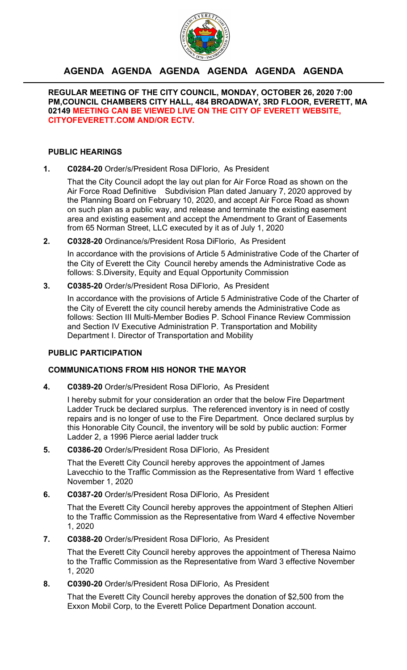

# **AGENDA AGENDA AGENDA AGENDA AGENDA AGENDA**

## **REGULAR MEETING OF THE CITY COUNCIL, MONDAY, OCTOBER 26, 2020 7:00 PM,COUNCIL CHAMBERS CITY HALL, 484 BROADWAY, 3RD FLOOR, EVERETT, MA 02149 MEETING CAN BE VIEWED LIVE ON THE CITY OF EVERETT WEBSITE, CITYOFEVERETT.COM AND/OR ECTV.**

## **PUBLIC HEARINGS**

**1. C0284-20** Order/s/President Rosa DiFlorio, As President

That the City Council adopt the lay out plan for Air Force Road as shown on the Air Force Road Definitive Subdivision Plan dated January 7, 2020 approved by the Planning Board on February 10, 2020, and accept Air Force Road as shown on such plan as a public way, and release and terminate the existing easement area and existing easement and accept the Amendment to Grant of Easements from 65 Norman Street, LLC executed by it as of July 1, 2020

**2. C0328-20** Ordinance/s/President Rosa DiFlorio, As President

In accordance with the provisions of Article 5 Administrative Code of the Charter of the City of Everett the City Council hereby amends the Administrative Code as follows: S.Diversity, Equity and Equal Opportunity Commission

**3. C0385-20** Order/s/President Rosa DiFlorio, As President

In accordance with the provisions of Article 5 Administrative Code of the Charter of the City of Everett the city council hereby amends the Administrative Code as follows: Section III Multi-Member Bodies P. School Finance Review Commission and Section IV Executive Administration P. Transportation and Mobility Department I. Director of Transportation and Mobility

## **PUBLIC PARTICIPATION**

## **COMMUNICATIONS FROM HIS HONOR THE MAYOR**

**4. C0389-20** Order/s/President Rosa DiFlorio, As President

I hereby submit for your consideration an order that the below Fire Department Ladder Truck be declared surplus. The referenced inventory is in need of costly repairs and is no longer of use to the Fire Department. Once declared surplus by this Honorable City Council, the inventory will be sold by public auction: Former Ladder 2, a 1996 Pierce aerial ladder truck

**5. C0386-20** Order/s/President Rosa DiFlorio, As President

That the Everett City Council hereby approves the appointment of James Lavecchio to the Traffic Commission as the Representative from Ward 1 effective November 1, 2020

**6. C0387-20** Order/s/President Rosa DiFlorio, As President

That the Everett City Council hereby approves the appointment of Stephen Altieri to the Traffic Commission as the Representative from Ward 4 effective November 1, 2020

**7. C0388-20** Order/s/President Rosa DiFlorio, As President

That the Everett City Council hereby approves the appointment of Theresa Naimo to the Traffic Commission as the Representative from Ward 3 effective November 1, 2020

**8. C0390-20** Order/s/President Rosa DiFlorio, As President

That the Everett City Council hereby approves the donation of \$2,500 from the Exxon Mobil Corp, to the Everett Police Department Donation account.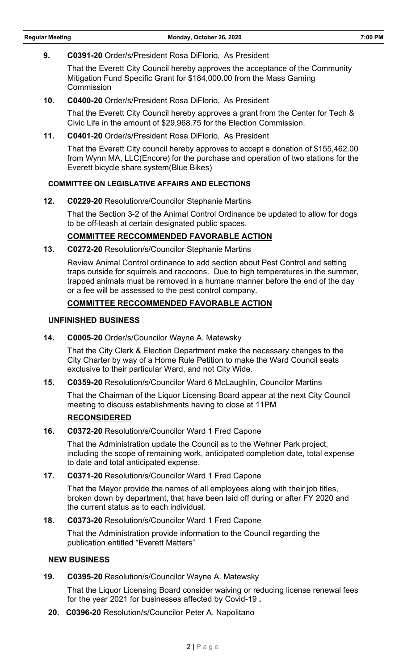**9. C0391-20** Order/s/President Rosa DiFlorio, As President

That the Everett City Council hereby approves the acceptance of the Community Mitigation Fund Specific Grant for \$184,000.00 from the Mass Gaming Commission

**10. C0400-20** Order/s/President Rosa DiFlorio, As President

That the Everett City Council hereby approves a grant from the Center for Tech & Civic Life in the amount of \$29,968.75 for the Election Commission.

**11. C0401-20** Order/s/President Rosa DiFlorio, As President

That the Everett City council hereby approves to accept a donation of \$155,462.00 from Wynn MA, LLC(Encore) for the purchase and operation of two stations for the Everett bicycle share system(Blue Bikes)

## **COMMITTEE ON LEGISLATIVE AFFAIRS AND ELECTIONS**

**12. C0229-20** Resolution/s/Councilor Stephanie Martins

That the Section 3-2 of the Animal Control Ordinance be updated to allow for dogs to be off-leash at certain designated public spaces.

## **COMMITTEE RECCOMMENDED FAVORABLE ACTION**

**13. C0272-20** Resolution/s/Councilor Stephanie Martins

Review Animal Control ordinance to add section about Pest Control and setting traps outside for squirrels and raccoons. Due to high temperatures in the summer, trapped animals must be removed in a humane manner before the end of the day or a fee will be assessed to the pest control company.

## **COMMITTEE RECCOMMENDED FAVORABLE ACTION**

#### **UNFINISHED BUSINESS**

**14. C0005-20** Order/s/Councilor Wayne A. Matewsky

That the City Clerk & Election Department make the necessary changes to the City Charter by way of a Home Rule Petition to make the Ward Council seats exclusive to their particular Ward, and not City Wide.

**15. C0359-20** Resolution/s/Councilor Ward 6 McLaughlin, Councilor Martins

That the Chairman of the Liquor Licensing Board appear at the next City Council meeting to discuss establishments having to close at 11PM

## **RECONSIDERED**

**16. C0372-20** Resolution/s/Councilor Ward 1 Fred Capone

That the Administration update the Council as to the Wehner Park project, including the scope of remaining work, anticipated completion date, total expense to date and total anticipated expense.

**17. C0371-20** Resolution/s/Councilor Ward 1 Fred Capone

That the Mayor provide the names of all employees along with their job titles, broken down by department, that have been laid off during or after FY 2020 and the current status as to each individual.

**18. C0373-20** Resolution/s/Councilor Ward 1 Fred Capone

That the Administration provide information to the Council regarding the publication entitled "Everett Matters"

## **NEW BUSINESS**

**19. C0395-20** Resolution/s/Councilor Wayne A. Matewsky

That the Liquor Licensing Board consider waiving or reducing license renewal fees for the year 2021 for businesses affected by Covid-19 **.**

**20. C0396-20** Resolution/s/Councilor Peter A. Napolitano